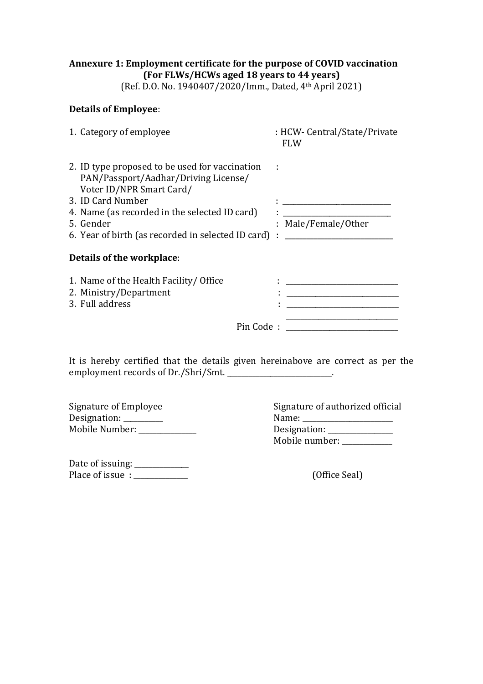## **Annexure 1: Employment certificate for the purpose of COVID vaccination (For FLWs/HCWs aged 18 years to 44 years)**

(Ref. D.O. No. 1940407/2020/Imm., Dated, 4th April 2021)

## **Details of Employee**:

| 1. Category of employee                                                                                                                                                                                                                                       | : HCW- Central/State/Private<br>FLW                                                                    |
|---------------------------------------------------------------------------------------------------------------------------------------------------------------------------------------------------------------------------------------------------------------|--------------------------------------------------------------------------------------------------------|
| 2. ID type proposed to be used for vaccination<br>PAN/Passport/Aadhar/Driving License/<br>Voter ID/NPR Smart Card/<br>3. ID Card Number<br>4. Name (as recorded in the selected ID card)<br>5. Gender<br>6. Year of birth (as recorded in selected ID card) : | the contract of the contract of the contract of the contract of the contract of<br>: Male/Female/Other |
| Details of the workplace:                                                                                                                                                                                                                                     |                                                                                                        |
| 1. Name of the Health Facility/ Office<br>2. Ministry/Department<br>3. Full address                                                                                                                                                                           | $\mathbf{L} = \frac{1}{2} \sum_{i=1}^{n} \mathbf{L}_i \mathbf{L}_i$                                    |
| Pin Code:                                                                                                                                                                                                                                                     |                                                                                                        |

It is hereby certified that the details given hereinabove are correct as per the employment records of Dr./Shri/Smt. \_\_\_\_\_\_\_\_\_\_\_\_\_\_\_\_\_\_\_\_\_\_\_\_.

| Signature of Employee | Signature of authorized official |
|-----------------------|----------------------------------|
| Designation:          | Name:                            |
| Mobile Number:        | Designation:                     |

| Signature of authorized official |
|----------------------------------|
| Name:                            |
| Designation: ____                |
| Mobile number: _                 |

Date of issuing: \_\_\_\_\_\_\_\_\_\_\_\_\_\_\_ Place of issue : \_\_\_\_\_\_\_\_\_\_\_\_\_\_\_ (Office Seal)